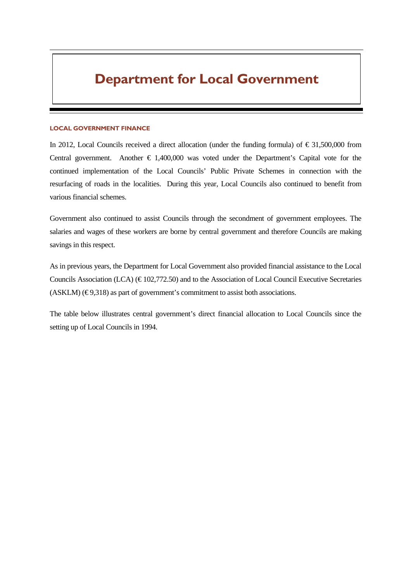#### LOCAL GOVERNMENT FINANCE

In 2012, Local Councils received a direct allocation (under the funding formula) of  $\epsilon$  31,500,000 from Central government. Another  $\epsilon$  1,400,000 was voted under the Department's Capital vote for the continued implementation of the Local Councils' Public Private Schemes in connection with the resurfacing of roads in the localities. During this year, Local Councils also continued to benefit from various financial schemes.

Government also continued to assist Councils through the secondment of government employees. The salaries and wages of these workers are borne by central government and therefore Councils are making savings in this respect.

As in previous years, the Department for Local Government also provided financial assistance to the Local Councils Association (LCA) ( $\in$  102,772.50) and to the Association of Local Council Executive Secretaries  $(ASKLM)$  ( $\in$  9,318) as part of government's commitment to assist both associations.

The table below illustrates central government's direct financial allocation to Local Councils since the setting up of Local Councils in 1994.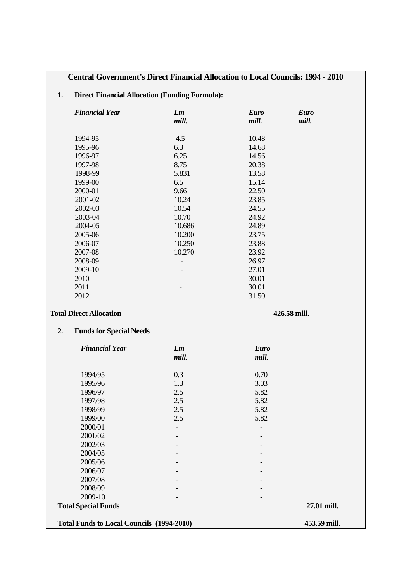### **Central Government's Direct Financial Allocation to Local Councils: 1994 - 2010**

### **1. Direct Financial Allocation (Funding Formula):**

| <b>Financial Year</b>                            | Lm<br>mill.              | <b>Euro</b><br>mill. | <b>Euro</b><br>mill. |  |  |
|--------------------------------------------------|--------------------------|----------------------|----------------------|--|--|
| 1994-95                                          | 4.5                      | 10.48                |                      |  |  |
| 1995-96                                          | 6.3                      | 14.68                |                      |  |  |
| 1996-97                                          | 6.25                     | 14.56                |                      |  |  |
| 1997-98                                          | 8.75                     | 20.38                |                      |  |  |
| 1998-99                                          | 5.831                    | 13.58                |                      |  |  |
| 1999-00                                          | 6.5                      | 15.14                |                      |  |  |
| 2000-01                                          | 9.66                     | 22.50                |                      |  |  |
| 2001-02                                          | 10.24                    | 23.85                |                      |  |  |
| 2002-03                                          | 10.54                    | 24.55                |                      |  |  |
| 2003-04                                          | 10.70                    | 24.92                |                      |  |  |
| 2004-05                                          | 10.686                   | 24.89                |                      |  |  |
| 2005-06                                          | 10.200                   | 23.75                |                      |  |  |
| 2006-07                                          | 10.250                   | 23.88                |                      |  |  |
| 2007-08                                          | 10.270                   | 23.92                |                      |  |  |
| 2008-09                                          | $\overline{\phantom{a}}$ | 26.97                |                      |  |  |
| 2009-10                                          |                          | 27.01                |                      |  |  |
| 2010                                             |                          | 30.01                |                      |  |  |
| 2011                                             |                          | 30.01                |                      |  |  |
| 2012                                             |                          | 31.50                |                      |  |  |
| <b>Total Direct Allocation</b>                   | 426.58 mill.             |                      |                      |  |  |
| <b>Funds for Special Needs</b><br>2.             |                          |                      |                      |  |  |
| <b>Financial Year</b>                            | Lm                       | <b>Euro</b>          |                      |  |  |
|                                                  | mill.                    | mill.                |                      |  |  |
| 1994/95                                          | 0.3                      | 0.70                 |                      |  |  |
| 1995/96                                          | 1.3                      | 3.03                 |                      |  |  |
| 1996/97                                          | 2.5                      | 5.82                 |                      |  |  |
| 1997/98                                          | 2.5                      | 5.82                 |                      |  |  |
| 1998/99                                          | 2.5                      | 5.82                 |                      |  |  |
| 1999/00                                          | 2.5                      | 5.82                 |                      |  |  |
| 2000/01                                          |                          |                      |                      |  |  |
| 2001/02                                          |                          |                      |                      |  |  |
| 2002/03                                          |                          |                      |                      |  |  |
| 2004/05                                          |                          |                      |                      |  |  |
| 2005/06                                          |                          |                      |                      |  |  |
| 2006/07                                          |                          |                      |                      |  |  |
| 2007/08                                          |                          |                      |                      |  |  |
| 2008/09                                          |                          |                      |                      |  |  |
| 2009-10                                          |                          |                      |                      |  |  |
| <b>Total Special Funds</b>                       |                          |                      | 27.01 mill.          |  |  |
| <b>Total Funds to Local Councils (1994-2010)</b> |                          |                      | 453.59 mill.         |  |  |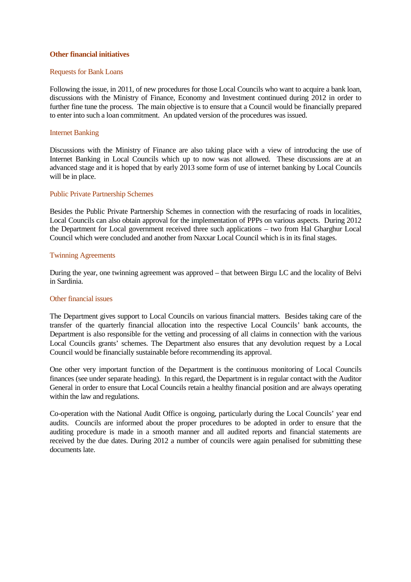#### **Other financial initiatives**

#### Requests for Bank Loans

Following the issue, in 2011, of new procedures for those Local Councils who want to acquire a bank loan, discussions with the Ministry of Finance, Economy and Investment continued during 2012 in order to further fine tune the process. The main objective is to ensure that a Council would be financially prepared to enter into such a loan commitment. An updated version of the procedures was issued.

#### Internet Banking

Discussions with the Ministry of Finance are also taking place with a view of introducing the use of Internet Banking in Local Councils which up to now was not allowed. These discussions are at an advanced stage and it is hoped that by early 2013 some form of use of internet banking by Local Councils will be in place.

#### Public Private Partnership Schemes

Besides the Public Private Partnership Schemes in connection with the resurfacing of roads in localities, Local Councils can also obtain approval for the implementation of PPPs on various aspects. During 2012 the Department for Local government received three such applications – two from Hal Gharghur Local Council which were concluded and another from Naxxar Local Council which is in its final stages.

#### Twinning Agreements

During the year, one twinning agreement was approved – that between Birgu LC and the locality of Belvi in Sardinia.

#### Other financial issues

The Department gives support to Local Councils on various financial matters. Besides taking care of the transfer of the quarterly financial allocation into the respective Local Councils' bank accounts, the Department is also responsible for the vetting and processing of all claims in connection with the various Local Councils grants' schemes. The Department also ensures that any devolution request by a Local Council would be financially sustainable before recommending its approval.

One other very important function of the Department is the continuous monitoring of Local Councils finances (see under separate heading). In this regard, the Department is in regular contact with the Auditor General in order to ensure that Local Councils retain a healthy financial position and are always operating within the law and regulations.

Co-operation with the National Audit Office is ongoing, particularly during the Local Councils' year end audits. Councils are informed about the proper procedures to be adopted in order to ensure that the auditing procedure is made in a smooth manner and all audited reports and financial statements are received by the due dates. During 2012 a number of councils were again penalised for submitting these documents late.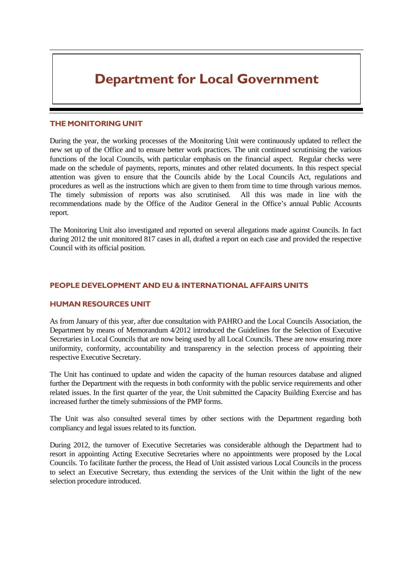#### THE MONITORING UNIT

During the year, the working processes of the Monitoring Unit were continuously updated to reflect the new set up of the Office and to ensure better work practices. The unit continued scrutinising the various functions of the local Councils, with particular emphasis on the financial aspect. Regular checks were made on the schedule of payments, reports, minutes and other related documents. In this respect special attention was given to ensure that the Councils abide by the Local Councils Act, regulations and procedures as well as the instructions which are given to them from time to time through various memos. The timely submission of reports was also scrutinised. All this was made in line with the recommendations made by the Office of the Auditor General in the Office's annual Public Accounts report.

The Monitoring Unit also investigated and reported on several allegations made against Councils. In fact during 2012 the unit monitored 817 cases in all, drafted a report on each case and provided the respective Council with its official position.

#### PEOPLE DEVELOPMENT AND EU & INTERNATIONAL AFFAIRS UNITS

#### HUMAN RESOURCES UNIT

As from January of this year, after due consultation with PAHRO and the Local Councils Association, the Department by means of Memorandum 4/2012 introduced the Guidelines for the Selection of Executive Secretaries in Local Councils that are now being used by all Local Councils. These are now ensuring more uniformity, conformity, accountability and transparency in the selection process of appointing their respective Executive Secretary.

The Unit has continued to update and widen the capacity of the human resources database and aligned further the Department with the requests in both conformity with the public service requirements and other related issues. In the first quarter of the year, the Unit submitted the Capacity Building Exercise and has increased further the timely submissions of the PMP forms.

The Unit was also consulted several times by other sections with the Department regarding both compliancy and legal issues related to its function.

During 2012, the turnover of Executive Secretaries was considerable although the Department had to resort in appointing Acting Executive Secretaries where no appointments were proposed by the Local Councils. To facilitate further the process, the Head of Unit assisted various Local Councils in the process to select an Executive Secretary, thus extending the services of the Unit within the light of the new selection procedure introduced.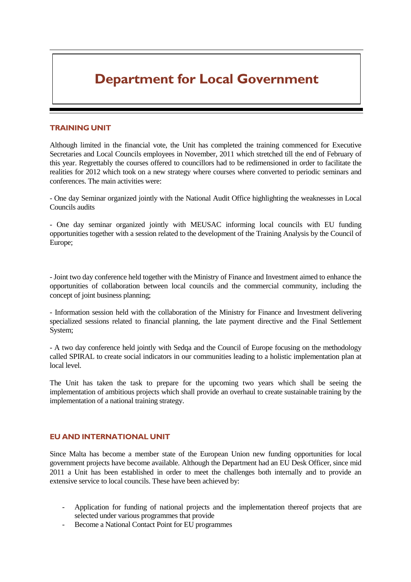#### TRAINING UNIT

Although limited in the financial vote, the Unit has completed the training commenced for Executive Secretaries and Local Councils employees in November, 2011 which stretched till the end of February of this year. Regrettably the courses offered to councillors had to be redimensioned in order to facilitate the realities for 2012 which took on a new strategy where courses where converted to periodic seminars and conferences. The main activities were:

- One day Seminar organized jointly with the National Audit Office highlighting the weaknesses in Local Councils audits

- One day seminar organized jointly with MEUSAC informing local councils with EU funding opportunities together with a session related to the development of the Training Analysis by the Council of Europe;

- Joint two day conference held together with the Ministry of Finance and Investment aimed to enhance the opportunities of collaboration between local councils and the commercial community, including the concept of joint business planning;

- Information session held with the collaboration of the Ministry for Finance and Investment delivering specialized sessions related to financial planning, the late payment directive and the Final Settlement System;

- A two day conference held jointly with Sedqa and the Council of Europe focusing on the methodology called SPIRAL to create social indicators in our communities leading to a holistic implementation plan at local level.

The Unit has taken the task to prepare for the upcoming two years which shall be seeing the implementation of ambitious projects which shall provide an overhaul to create sustainable training by the implementation of a national training strategy.

#### EU AND INTERNATIONAL UNIT

Since Malta has become a member state of the European Union new funding opportunities for local government projects have become available. Although the Department had an EU Desk Officer, since mid 2011 a Unit has been established in order to meet the challenges both internally and to provide an extensive service to local councils. These have been achieved by:

- Application for funding of national projects and the implementation thereof projects that are selected under various programmes that provide
- Become a National Contact Point for EU programmes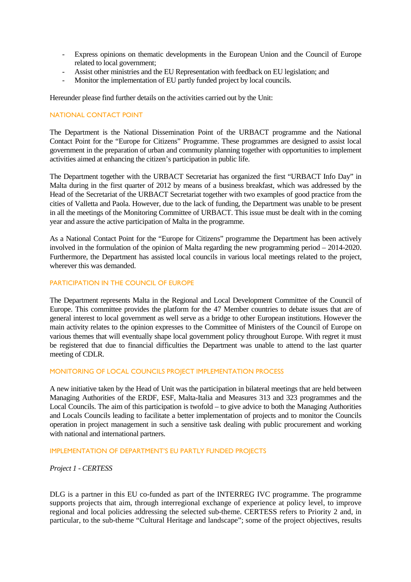- Express opinions on thematic developments in the European Union and the Council of Europe related to local government;
- Assist other ministries and the EU Representation with feedback on EU legislation; and
- Monitor the implementation of EU partly funded project by local councils.

Hereunder please find further details on the activities carried out by the Unit:

#### NATIONAL CONTACT POINT

The Department is the National Dissemination Point of the URBACT programme and the National Contact Point for the "Europe for Citizens" Programme. These programmes are designed to assist local government in the preparation of urban and community planning together with opportunities to implement activities aimed at enhancing the citizen's participation in public life.

The Department together with the URBACT Secretariat has organized the first "URBACT Info Day" in Malta during in the first quarter of 2012 by means of a business breakfast, which was addressed by the Head of the Secretariat of the URBACT Secretariat together with two examples of good practice from the cities of Valletta and Paola. However, due to the lack of funding, the Department was unable to be present in all the meetings of the Monitoring Committee of URBACT. This issue must be dealt with in the coming year and assure the active participation of Malta in the programme.

As a National Contact Point for the "Europe for Citizens" programme the Department has been actively involved in the formulation of the opinion of Malta regarding the new programming period – 2014-2020. Furthermore, the Department has assisted local councils in various local meetings related to the project, wherever this was demanded.

#### PARTICIPATION IN THE COUNCIL OF EUROPE

The Department represents Malta in the Regional and Local Development Committee of the Council of Europe. This committee provides the platform for the 47 Member countries to debate issues that are of general interest to local government as well serve as a bridge to other European institutions. However the main activity relates to the opinion expresses to the Committee of Ministers of the Council of Europe on various themes that will eventually shape local government policy throughout Europe. With regret it must be registered that due to financial difficulties the Department was unable to attend to the last quarter meeting of CDLR.

#### MONITORING OF LOCAL COUNCILS PROJECT IMPLEMENTATION PROCESS

A new initiative taken by the Head of Unit was the participation in bilateral meetings that are held between Managing Authorities of the ERDF, ESF, Malta-Italia and Measures 313 and 323 programmes and the Local Councils. The aim of this participation is twofold – to give advice to both the Managing Authorities and Locals Councils leading to facilitate a better implementation of projects and to monitor the Councils operation in project management in such a sensitive task dealing with public procurement and working with national and international partners.

#### IMPLEMENTATION OF DEPARTMENT'S EU PARTLY FUNDED PROJECTS

*Project 1 - CERTESS* 

DLG is a partner in this EU co-funded as part of the INTERREG IVC programme. The programme supports projects that aim, through interregional exchange of experience at policy level, to improve regional and local policies addressing the selected sub-theme. CERTESS refers to Priority 2 and, in particular, to the sub-theme "Cultural Heritage and landscape"; some of the project objectives, results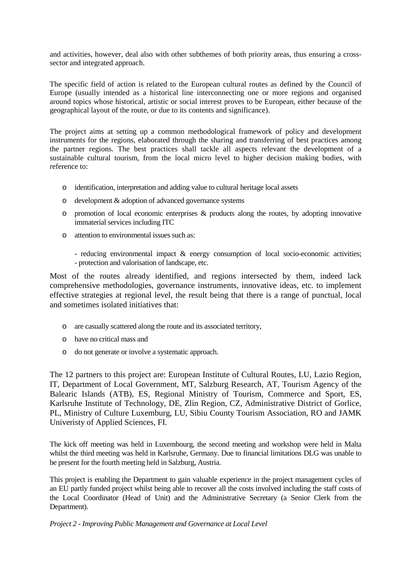and activities, however, deal also with other subthemes of both priority areas, thus ensuring a crosssector and integrated approach.

The specific field of action is related to the European cultural routes as defined by the Council of Europe (usually intended as a historical line interconnecting one or more regions and organised around topics whose historical, artistic or social interest proves to be European, either because of the geographical layout of the route, or due to its contents and significance).

The project aims at setting up a common methodological framework of policy and development instruments for the regions, elaborated through the sharing and transferring of best practices among the partner regions. The best practices shall tackle all aspects relevant the development of a sustainable cultural tourism, from the local micro level to higher decision making bodies, with reference to:

- o identification, interpretation and adding value to cultural heritage local assets
- o development & adoption of advanced governance systems
- o promotion of local economic enterprises & products along the routes, by adopting innovative immaterial services including ITC
- o attention to environmental issues such as:
	- reducing environmental impact & energy consumption of local socio-economic activities; - protection and valorisation of landscape, etc.

Most of the routes already identified, and regions intersected by them, indeed lack comprehensive methodologies, governance instruments, innovative ideas, etc. to implement effective strategies at regional level, the result being that there is a range of punctual, local and sometimes isolated initiatives that:

- o are casually scattered along the route and its associated territory,
- o have no critical mass and
- o do not generate or involve a systematic approach.

The 12 partners to this project are: European Institute of Cultural Routes, LU, Lazio Region, IT, Department of Local Government, MT, Salzburg Research, AT, Tourism Agency of the Balearic Islands (ATB), ES, Regional Ministry of Tourism, Commerce and Sport, ES, Karlsruhe Institute of Technology, DE, Zlin Region, CZ, Administrative District of Gorlice, PL, Ministry of Culture Luxemburg, LU, Sibiu County Tourism Association, RO and JAMK Univeristy of Applied Sciences, FI.

The kick off meeting was held in Luxembourg, the second meeting and workshop were held in Malta whilst the third meeting was held in Karlsruhe, Germany. Due to financial limitations DLG was unable to be present for the fourth meeting held in Salzburg, Austria.

This project is enabling the Department to gain valuable experience in the project management cycles of an EU partly funded project whilst being able to recover all the costs involved including the staff costs of the Local Coordinator (Head of Unit) and the Administrative Secretary (a Senior Clerk from the Department).

*Project 2 - Improving Public Management and Governance at Local Level*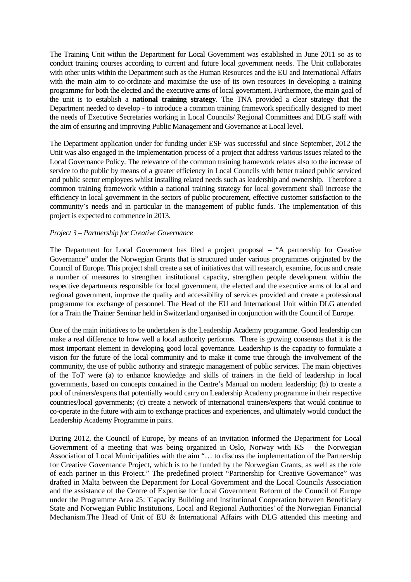The Training Unit within the Department for Local Government was established in June 2011 so as to conduct training courses according to current and future local government needs. The Unit collaborates with other units within the Department such as the Human Resources and the EU and International Affairs with the main aim to co-ordinate and maximise the use of its own resources in developing a training programme for both the elected and the executive arms of local government. Furthermore, the main goal of the unit is to establish a **national training strategy**. The TNA provided a clear strategy that the Department needed to develop - to introduce a common training framework specifically designed to meet the needs of Executive Secretaries working in Local Councils/ Regional Committees and DLG staff with the aim of ensuring and improving Public Management and Governance at Local level.

The Department application under for funding under ESF was successful and since September, 2012 the Unit was also engaged in the implementation process of a project that address various issues related to the Local Governance Policy. The relevance of the common training framework relates also to the increase of service to the public by means of a greater efficiency in Local Councils with better trained public serviced and public sector employees whilst installing related needs such as leadership and ownership. Therefore a common training framework within a national training strategy for local government shall increase the efficiency in local government in the sectors of public procurement, effective customer satisfaction to the community's needs and in particular in the management of public funds. The implementation of this project is expected to commence in 2013.

#### *Project 3 – Partnership for Creative Governance*

The Department for Local Government has filed a project proposal – "A partnership for Creative Governance" under the Norwegian Grants that is structured under various programmes originated by the Council of Europe. This project shall create a set of initiatives that will research, examine, focus and create a number of measures to strengthen institutional capacity, strengthen people development within the respective departments responsible for local government, the elected and the executive arms of local and regional government, improve the quality and accessibility of services provided and create a professional programme for exchange of personnel. The Head of the EU and International Unit within DLG attended for a Train the Trainer Seminar held in Switzerland organised in conjunction with the Council of Europe.

One of the main initiatives to be undertaken is the Leadership Academy programme. Good leadership can make a real difference to how well a local authority performs. There is growing consensus that it is the most important element in developing good local governance. Leadership is the capacity to formulate a vision for the future of the local community and to make it come true through the involvement of the community, the use of public authority and strategic management of public services. The main objectives of the ToT were (a) to enhance knowledge and skills of trainers in the field of leadership in local governments, based on concepts contained in the Centre's Manual on modern leadership; (b) to create a pool of trainers/experts that potentially would carry on Leadership Academy programme in their respective countries/local governments; (c) create a network of international trainers/experts that would continue to co-operate in the future with aim to exchange practices and experiences, and ultimately would conduct the Leadership Academy Programme in pairs.

During 2012, the Council of Europe, by means of an invitation informed the Department for Local Government of a meeting that was being organized in Oslo, Norway with KS – the Norwegian Association of Local Municipalities with the aim "… to discuss the implementation of the Partnership for Creative Governance Project, which is to be funded by the Norwegian Grants, as well as the role of each partner in this Project." The predefined project "Partnership for Creative Governance" was drafted in Malta between the Department for Local Government and the Local Councils Association and the assistance of the Centre of Expertise for Local Government Reform of the Council of Europe under the Programme Area 25: 'Capacity Building and Institutional Cooperation between Beneficiary State and Norwegian Public Institutions, Local and Regional Authorities' of the Norwegian Financial Mechanism.The Head of Unit of EU & International Affairs with DLG attended this meeting and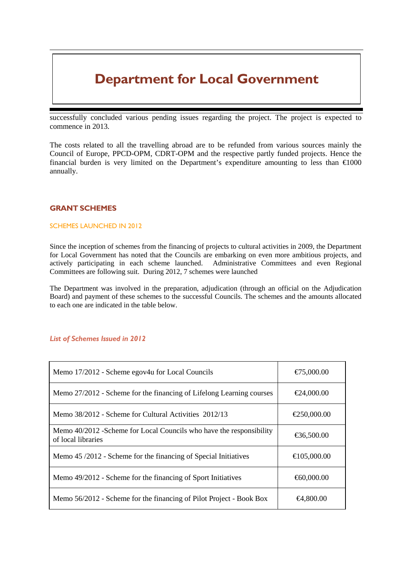successfully concluded various pending issues regarding the project. The project is expected to commence in 2013.

The costs related to all the travelling abroad are to be refunded from various sources mainly the Council of Europe, PPCD-OPM, CDRT-OPM and the respective partly funded projects. Hence the financial burden is very limited on the Department's expenditure amounting to less than  $\epsilon$ 1000 annually.

### GRANT SCHEMES

#### SCHEMES LAUNCHED IN 2012

Since the inception of schemes from the financing of projects to cultural activities in 2009, the Department for Local Government has noted that the Councils are embarking on even more ambitious projects, and actively participating in each scheme launched. Administrative Committees and even Regional Committees are following suit. During 2012, 7 schemes were launched

The Department was involved in the preparation, adjudication (through an official on the Adjudication Board) and payment of these schemes to the successful Councils. The schemes and the amounts allocated to each one are indicated in the table below.

#### List of Schemes Issued in 2012

| Memo 17/2012 - Scheme egov4u for Local Councils                                            | €75000.00   |  |  |  |
|--------------------------------------------------------------------------------------------|-------------|--|--|--|
| Memo 27/2012 - Scheme for the financing of Lifelong Learning courses                       | €24,000.00  |  |  |  |
| Memo 38/2012 - Scheme for Cultural Activities 2012/13                                      | €250,000.00 |  |  |  |
| Memo 40/2012 - Scheme for Local Councils who have the responsibility<br>of local libraries | €36,500.00  |  |  |  |
| Memo 45/2012 - Scheme for the financing of Special Initiatives                             | €105,000.00 |  |  |  |
| Memo 49/2012 - Scheme for the financing of Sport Initiatives                               | €60,000.00  |  |  |  |
| Memo 56/2012 - Scheme for the financing of Pilot Project - Book Box                        | €4,800.00   |  |  |  |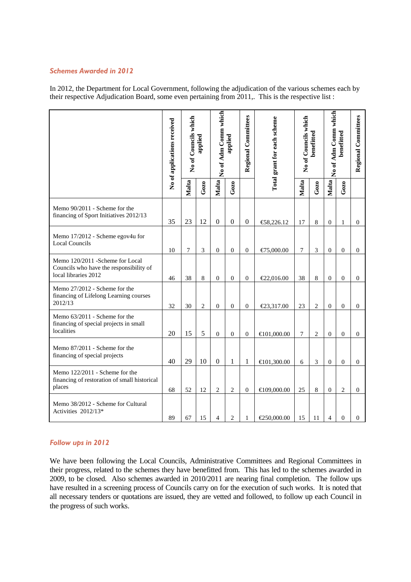#### Schemes Awarded in 2012

In 2012, the Department for Local Government, following the adjudication of the various schemes each by their respective Adjudication Board, some even pertaining from 2011,. This is the respective list :

|                                                                                                     | No of applications received | No of Councils which | applied      | No of Adm Comm which | applied        | Regional Committees | Total grant for each scheme | No of Councils which | benefitted | No of Adm Comm which | benefitted       | Regional Committees |
|-----------------------------------------------------------------------------------------------------|-----------------------------|----------------------|--------------|----------------------|----------------|---------------------|-----------------------------|----------------------|------------|----------------------|------------------|---------------------|
|                                                                                                     |                             | Malta                | Gozo         | Malta                | Gozo           |                     |                             | Malta                | Gozo       | Malta                | Gozo             |                     |
| Memo 90/2011 - Scheme for the<br>financing of Sport Initiatives 2012/13                             | 35                          | 23                   | 12           | $\boldsymbol{0}$     | $\mathbf{0}$   | $\boldsymbol{0}$    | €58,226.12                  | 17                   | 8          | $\overline{0}$       | 1                | $\overline{0}$      |
| Memo 17/2012 - Scheme egov4u for<br><b>Local Councils</b>                                           | 10                          | 7                    | 3            | $\mathbf{0}$         | $\overline{0}$ | $\overline{0}$      | €75,000.00                  | $\overline{7}$       | 3          | $\boldsymbol{0}$     | $\overline{0}$   | $\overline{0}$      |
| Memo 120/2011 - Scheme for Local<br>Councils who have the responsibility of<br>local libraries 2012 | 46                          | 38                   | 8            | $\mathbf{0}$         | $\overline{0}$ | $\overline{0}$      | €22,016.00                  | 38                   | 8          | $\boldsymbol{0}$     | $\boldsymbol{0}$ | $\overline{0}$      |
| Memo 27/2012 - Scheme for the<br>financing of Lifelong Learning courses<br>2012/13                  | 32                          | 30                   | $\mathbf{2}$ | $\mathbf{0}$         | $\mathbf{0}$   | $\overline{0}$      | €23,317.00                  | 23                   | 2          | $\overline{0}$       | $\theta$         | $\overline{0}$      |
| Memo 63/2011 - Scheme for the<br>financing of special projects in small<br>localities               | 20                          | 15                   | 5            | $\mathbf{0}$         | $\mathbf{0}$   | $\boldsymbol{0}$    | €101,000.00                 | 7                    | 2          | $\boldsymbol{0}$     | $\overline{0}$   | $\overline{0}$      |
| Memo 87/2011 - Scheme for the<br>financing of special projects                                      | 40                          | 29                   | 10           | $\overline{0}$       | 1              | 1                   | €101,300.00                 | 6                    | 3          | $\overline{0}$       | $\boldsymbol{0}$ | $\overline{0}$      |
| Memo 122/2011 - Scheme for the<br>financing of restoration of small historical<br>places            | 68                          | 52                   | 12           | $\overline{c}$       | $\mathbf{2}$   | $\boldsymbol{0}$    | €109,000.00                 | 25                   | 8          | $\boldsymbol{0}$     | $\overline{c}$   | $\overline{0}$      |
| Memo 38/2012 - Scheme for Cultural<br>Activities 2012/13*                                           | 89                          | 67                   | 15           | 4                    | $\overline{2}$ | 1                   | €250,000.00                 | 15                   | 11         | $\overline{4}$       | $\overline{0}$   | $\mathbf{0}$        |

### Follow ups in 2012

We have been following the Local Councils, Administrative Committees and Regional Committees in their progress, related to the schemes they have benefitted from. This has led to the schemes awarded in 2009, to be closed. Also schemes awarded in 2010/2011 are nearing final completion. The follow ups have resulted in a screening process of Councils carry on for the execution of such works. It is noted that all necessary tenders or quotations are issued, they are vetted and followed, to follow up each Council in the progress of such works.